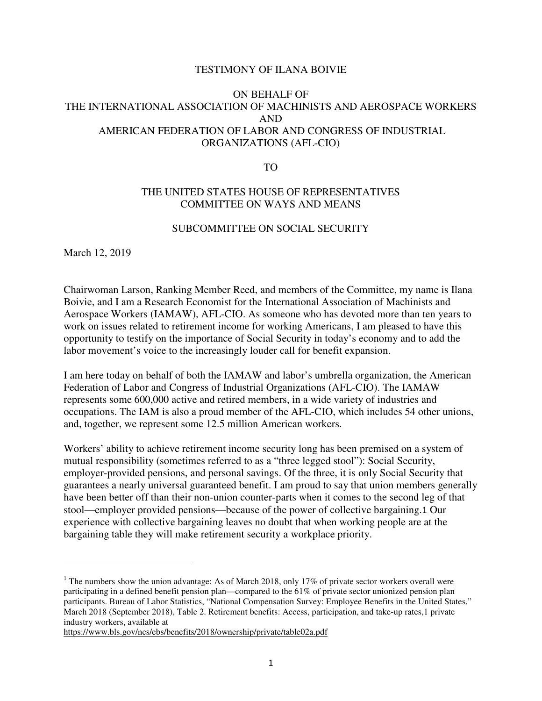## TESTIMONY OF ILANA BOIVIE

## ON BEHALF OF THE INTERNATIONAL ASSOCIATION OF MACHINISTS AND AEROSPACE WORKERS AND AMERICAN FEDERATION OF LABOR AND CONGRESS OF INDUSTRIAL ORGANIZATIONS (AFL-CIO)

TO

## THE UNITED STATES HOUSE OF REPRESENTATIVES COMMITTEE ON WAYS AND MEANS

## SUBCOMMITTEE ON SOCIAL SECURITY

March 12, 2019

l

Chairwoman Larson, Ranking Member Reed, and members of the Committee, my name is Ilana Boivie, and I am a Research Economist for the International Association of Machinists and Aerospace Workers (IAMAW), AFL-CIO. As someone who has devoted more than ten years to work on issues related to retirement income for working Americans, I am pleased to have this opportunity to testify on the importance of Social Security in today's economy and to add the labor movement's voice to the increasingly louder call for benefit expansion.

I am here today on behalf of both the IAMAW and labor's umbrella organization, the American Federation of Labor and Congress of Industrial Organizations (AFL-CIO). The IAMAW represents some 600,000 active and retired members, in a wide variety of industries and occupations. The IAM is also a proud member of the AFL-CIO, which includes 54 other unions, and, together, we represent some 12.5 million American workers.

Workers' ability to achieve retirement income security long has been premised on a system of mutual responsibility (sometimes referred to as a "three legged stool"): Social Security, employer-provided pensions, and personal savings. Of the three, it is only Social Security that guarantees a nearly universal guaranteed benefit. I am proud to say that union members generally have been better off than their non-union counter-parts when it comes to the second leg of that stool—employer provided pensions—because of the power of collective bargaining.1 Our experience with collective bargaining leaves no doubt that when working people are at the bargaining table they will make retirement security a workplace priority.

https://www.bls.gov/ncs/ebs/benefits/2018/ownership/private/table02a.pdf

<sup>&</sup>lt;sup>1</sup> The numbers show the union advantage: As of March 2018, only 17% of private sector workers overall were participating in a defined benefit pension plan—compared to the 61% of private sector unionized pension plan participants. Bureau of Labor Statistics, "National Compensation Survey: Employee Benefits in the United States," March 2018 (September 2018), Table 2. Retirement benefits: Access, participation, and take-up rates,1 private industry workers, available at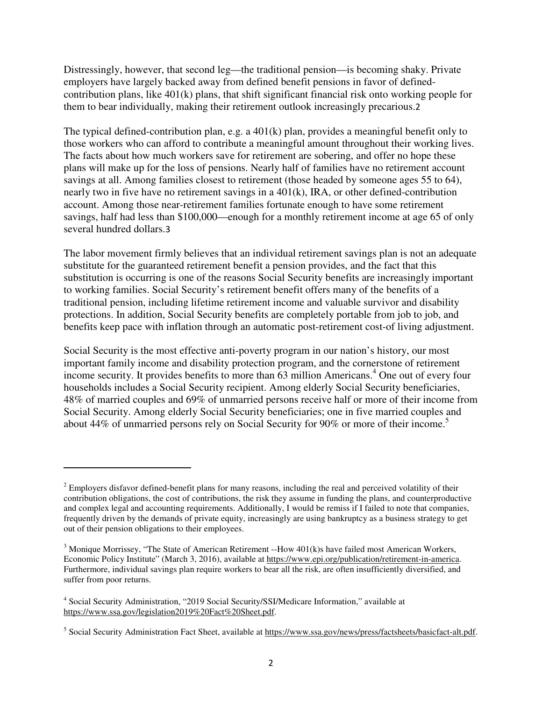Distressingly, however, that second leg—the traditional pension—is becoming shaky. Private employers have largely backed away from defined benefit pensions in favor of definedcontribution plans, like 401(k) plans, that shift significant financial risk onto working people for them to bear individually, making their retirement outlook increasingly precarious.2

The typical defined-contribution plan, e.g. a 401(k) plan, provides a meaningful benefit only to those workers who can afford to contribute a meaningful amount throughout their working lives. The facts about how much workers save for retirement are sobering, and offer no hope these plans will make up for the loss of pensions. Nearly half of families have no retirement account savings at all. Among families closest to retirement (those headed by someone ages 55 to 64), nearly two in five have no retirement savings in a 401(k), IRA, or other defined-contribution account. Among those near-retirement families fortunate enough to have some retirement savings, half had less than \$100,000—enough for a monthly retirement income at age 65 of only several hundred dollars.3

The labor movement firmly believes that an individual retirement savings plan is not an adequate substitute for the guaranteed retirement benefit a pension provides, and the fact that this substitution is occurring is one of the reasons Social Security benefits are increasingly important to working families. Social Security's retirement benefit offers many of the benefits of a traditional pension, including lifetime retirement income and valuable survivor and disability protections. In addition, Social Security benefits are completely portable from job to job, and benefits keep pace with inflation through an automatic post-retirement cost-of living adjustment.

Social Security is the most effective anti-poverty program in our nation's history, our most important family income and disability protection program, and the cornerstone of retirement income security. It provides benefits to more than 63 million Americans.<sup>4</sup> One out of every four households includes a Social Security recipient. Among elderly Social Security beneficiaries, 48% of married couples and 69% of unmarried persons receive half or more of their income from Social Security. Among elderly Social Security beneficiaries; one in five married couples and about 44% of unmarried persons rely on Social Security for 90% or more of their income.<sup>5</sup>

 $\overline{a}$ 

 $2^{2}$  Employers disfavor defined-benefit plans for many reasons, including the real and perceived volatility of their contribution obligations, the cost of contributions, the risk they assume in funding the plans, and counterproductive and complex legal and accounting requirements. Additionally, I would be remiss if I failed to note that companies, frequently driven by the demands of private equity, increasingly are using bankruptcy as a business strategy to get out of their pension obligations to their employees.

 $3$  Monique Morrissey, "The State of American Retirement --How  $401(k)s$  have failed most American Workers, Economic Policy Institute" (March 3, 2016), available at https://www.epi.org/publication/retirement-in-america. Furthermore, individual savings plan require workers to bear all the risk, are often insufficiently diversified, and suffer from poor returns.

<sup>&</sup>lt;sup>4</sup> Social Security Administration, "2019 Social Security/SSI/Medicare Information," available at https://www.ssa.gov/legislation2019%20Fact%20Sheet.pdf.

<sup>&</sup>lt;sup>5</sup> Social Security Administration Fact Sheet, available at https://www.ssa.gov/news/press/factsheets/basicfact-alt.pdf.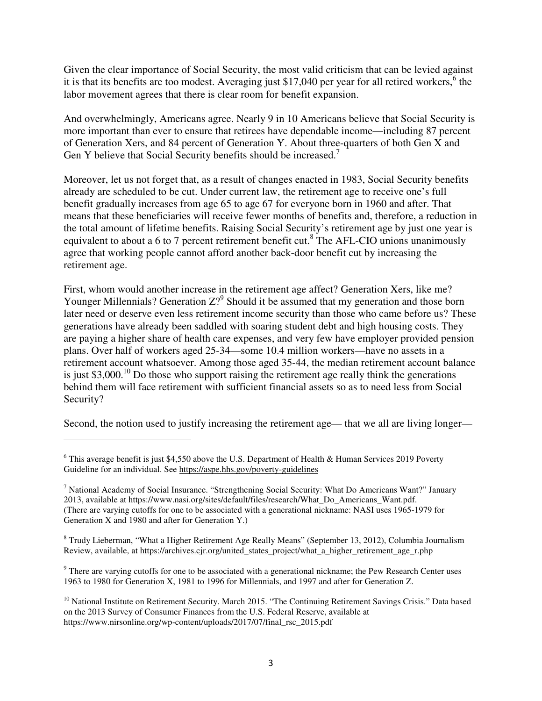Given the clear importance of Social Security, the most valid criticism that can be levied against it is that its benefits are too modest. Averaging just \$17,040 per year for all retired workers,  $6$  the labor movement agrees that there is clear room for benefit expansion.

And overwhelmingly, Americans agree. Nearly 9 in 10 Americans believe that Social Security is more important than ever to ensure that retirees have dependable income—including 87 percent of Generation Xers, and 84 percent of Generation Y. About three-quarters of both Gen X and Gen Y believe that Social Security benefits should be increased.<sup>7</sup>

Moreover, let us not forget that, as a result of changes enacted in 1983, Social Security benefits already are scheduled to be cut. Under current law, the retirement age to receive one's full benefit gradually increases from age 65 to age 67 for everyone born in 1960 and after. That means that these beneficiaries will receive fewer months of benefits and, therefore, a reduction in the total amount of lifetime benefits. Raising Social Security's retirement age by just one year is equivalent to about a 6 to 7 percent retirement benefit cut.<sup>8</sup> The AFL-CIO unions unanimously agree that working people cannot afford another back-door benefit cut by increasing the retirement age.

First, whom would another increase in the retirement age affect? Generation Xers, like me? Younger Millennials? Generation  $Z$ ? Should it be assumed that my generation and those born later need or deserve even less retirement income security than those who came before us? These generations have already been saddled with soaring student debt and high housing costs. They are paying a higher share of health care expenses, and very few have employer provided pension plans. Over half of workers aged 25-34—some 10.4 million workers—have no assets in a retirement account whatsoever. Among those aged 35-44, the median retirement account balance is just  $$3,000$ .<sup>10</sup> Do those who support raising the retirement age really think the generations behind them will face retirement with sufficient financial assets so as to need less from Social Security?

Second, the notion used to justify increasing the retirement age— that we all are living longer—

l

 $6$  This average benefit is just \$4,550 above the U.S. Department of Health & Human Services 2019 Poverty Guideline for an individual. See https://aspe.hhs.gov/poverty-guidelines

<sup>&</sup>lt;sup>7</sup> National Academy of Social Insurance. "Strengthening Social Security: What Do Americans Want?" January 2013, available at https://www.nasi.org/sites/default/files/research/What\_Do\_Americans\_Want.pdf. (There are varying cutoffs for one to be associated with a generational nickname: NASI uses 1965-1979 for Generation X and 1980 and after for Generation Y.)

<sup>&</sup>lt;sup>8</sup> Trudy Lieberman, "What a Higher Retirement Age Really Means" (September 13, 2012), Columbia Journalism Review, available, at https://archives.cjr.org/united\_states\_project/what\_a\_higher\_retirement\_age\_r.php

<sup>&</sup>lt;sup>9</sup> There are varying cutoffs for one to be associated with a generational nickname; the Pew Research Center uses 1963 to 1980 for Generation X, 1981 to 1996 for Millennials, and 1997 and after for Generation Z.

<sup>&</sup>lt;sup>10</sup> National Institute on Retirement Security. March 2015. "The Continuing Retirement Savings Crisis." Data based on the 2013 Survey of Consumer Finances from the U.S. Federal Reserve, available at https://www.nirsonline.org/wp-content/uploads/2017/07/final\_rsc\_2015.pdf